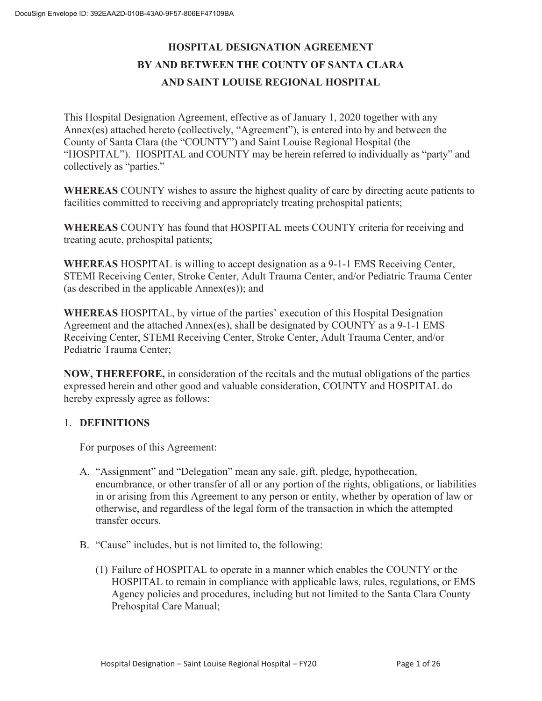## **HOSPITAL DESIGNATION AGREEMENT BY AND BETWEEN THE COUNTY OF SANTA CLARA AND SAINT LOUISE REGIONAL HOSPITAL**

This Hospital Designation Agreement, effective as of January 1, 2020 together with any Annex(es) attached hereto (collectively, "Agreement"), is entered into by and between the County of Santa Clara (the "COUNTY") and Saint Louise Regional Hospital (the "HOSPITAL"). HOSPITAL and COUNTY may be herein referred to individually as "party" and collectively as "parties."

**WHEREAS** COUNTY wishes to assure the highest quality of care by directing acute patients to facilities committed to receiving and appropriately treating prehospital patients;

**WHEREAS** COUNTY has found that HOSPITAL meets COUNTY criteria for receiving and treating acute, prehospital patients;

**WHEREAS** HOSPITAL is willing to accept designation as a 9-1-1 EMS Receiving Center, STEMI Receiving Center, Stroke Center, Adult Trauma Center, and/or Pediatric Trauma Center (as described in the applicable Annex(es)); and

**WHEREAS** HOSPITAL, by virtue of the parties' execution of this Hospital Designation Agreement and the attached Annex(es), shall be designated by COUNTY as a 9-1-1 EMS Receiving Center, STEMI Receiving Center, Stroke Center, Adult Trauma Center, and/or Pediatric Trauma Center;

**NOW, THEREFORE,** in consideration of the recitals and the mutual obligations of the parties expressed herein and other good and valuable consideration, COUNTY and HOSPITAL do hereby expressly agree as follows:

### 1. **DEFINITIONS**

For purposes of this Agreement:

- A. "Assignment" and "Delegation" mean any sale, gift, pledge, hypothecation, encumbrance, or other transfer of all or any portion of the rights, obligations, or liabilities in or arising from this Agreement to any person or entity, whether by operation of law or otherwise, and regardless of the legal form of the transaction in which the attempted transfer occurs.
- B. "Cause" includes, but is not limited to, the following:
	- (1) Failure of HOSPITAL to operate in a manner which enables the COUNTY or the HOSPITAL to remain in compliance with applicable laws, rules, regulations, or EMS Agency policies and procedures, including but not limited to the Santa Clara County Prehospital Care Manual;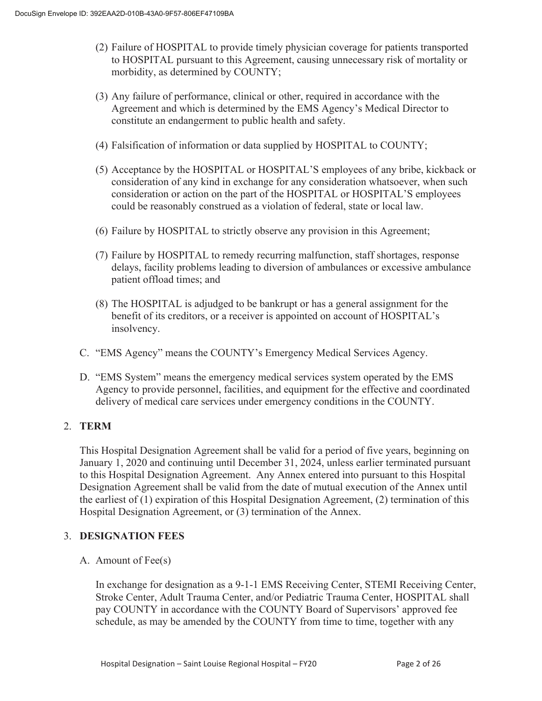- (2) Failure of HOSPITAL to provide timely physician coverage for patients transported to HOSPITAL pursuant to this Agreement, causing unnecessary risk of mortality or morbidity, as determined by COUNTY;
- (3) Any failure of performance, clinical or other, required in accordance with the Agreement and which is determined by the EMS Agency's Medical Director to constitute an endangerment to public health and safety.
- (4) Falsification of information or data supplied by HOSPITAL to COUNTY;
- (5) Acceptance by the HOSPITAL or HOSPITAL'S employees of any bribe, kickback or consideration of any kind in exchange for any consideration whatsoever, when such consideration or action on the part of the HOSPITAL or HOSPITAL'S employees could be reasonably construed as a violation of federal, state or local law.
- (6) Failure by HOSPITAL to strictly observe any provision in this Agreement;
- (7) Failure by HOSPITAL to remedy recurring malfunction, staff shortages, response delays, facility problems leading to diversion of ambulances or excessive ambulance patient offload times; and
- (8) The HOSPITAL is adjudged to be bankrupt or has a general assignment for the benefit of its creditors, or a receiver is appointed on account of HOSPITAL's insolvency.
- C. "EMS Agency" means the COUNTY's Emergency Medical Services Agency.
- D. "EMS System" means the emergency medical services system operated by the EMS Agency to provide personnel, facilities, and equipment for the effective and coordinated delivery of medical care services under emergency conditions in the COUNTY.

### 2. **TERM**

This Hospital Designation Agreement shall be valid for a period of five years, beginning on January 1, 2020 and continuing until December 31, 2024, unless earlier terminated pursuant to this Hospital Designation Agreement. Any Annex entered into pursuant to this Hospital Designation Agreement shall be valid from the date of mutual execution of the Annex until the earliest of (1) expiration of this Hospital Designation Agreement, (2) termination of this Hospital Designation Agreement, or (3) termination of the Annex.

### 3. **DESIGNATION FEES**

A. Amount of Fee(s)

In exchange for designation as a 9-1-1 EMS Receiving Center, STEMI Receiving Center, Stroke Center, Adult Trauma Center, and/or Pediatric Trauma Center, HOSPITAL shall pay COUNTY in accordance with the COUNTY Board of Supervisors' approved fee schedule, as may be amended by the COUNTY from time to time, together with any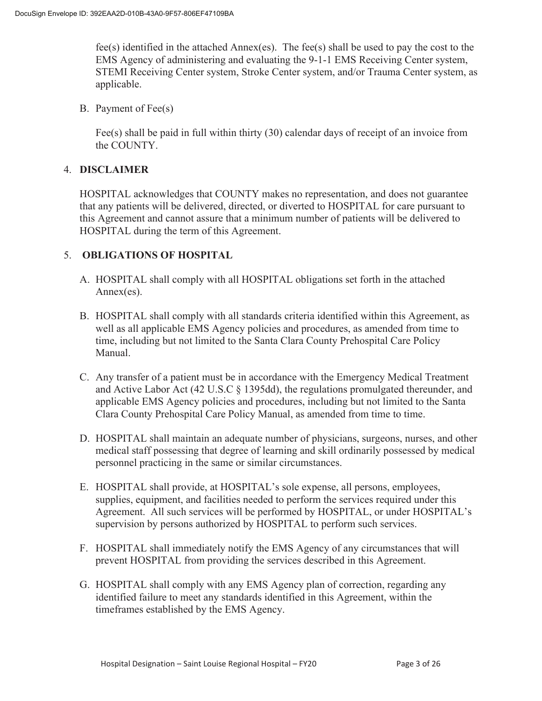fee(s) identified in the attached Annex(es). The fee(s) shall be used to pay the cost to the EMS Agency of administering and evaluating the 9-1-1 EMS Receiving Center system, STEMI Receiving Center system, Stroke Center system, and/or Trauma Center system, as applicable.

B. Payment of Fee(s)

Fee(s) shall be paid in full within thirty (30) calendar days of receipt of an invoice from the COUNTY.

### 4. **DISCLAIMER**

HOSPITAL acknowledges that COUNTY makes no representation, and does not guarantee that any patients will be delivered, directed, or diverted to HOSPITAL for care pursuant to this Agreement and cannot assure that a minimum number of patients will be delivered to HOSPITAL during the term of this Agreement.

### 5. **OBLIGATIONS OF HOSPITAL**

- A. HOSPITAL shall comply with all HOSPITAL obligations set forth in the attached Annex(es).
- B. HOSPITAL shall comply with all standards criteria identified within this Agreement, as well as all applicable EMS Agency policies and procedures, as amended from time to time, including but not limited to the Santa Clara County Prehospital Care Policy Manual.
- C. Any transfer of a patient must be in accordance with the Emergency Medical Treatment and Active Labor Act (42 U.S.C § 1395dd), the regulations promulgated thereunder, and applicable EMS Agency policies and procedures, including but not limited to the Santa Clara County Prehospital Care Policy Manual, as amended from time to time.
- D. HOSPITAL shall maintain an adequate number of physicians, surgeons, nurses, and other medical staff possessing that degree of learning and skill ordinarily possessed by medical personnel practicing in the same or similar circumstances.
- E. HOSPITAL shall provide, at HOSPITAL's sole expense, all persons, employees, supplies, equipment, and facilities needed to perform the services required under this Agreement. All such services will be performed by HOSPITAL, or under HOSPITAL's supervision by persons authorized by HOSPITAL to perform such services.
- F. HOSPITAL shall immediately notify the EMS Agency of any circumstances that will prevent HOSPITAL from providing the services described in this Agreement.
- G. HOSPITAL shall comply with any EMS Agency plan of correction, regarding any identified failure to meet any standards identified in this Agreement, within the timeframes established by the EMS Agency.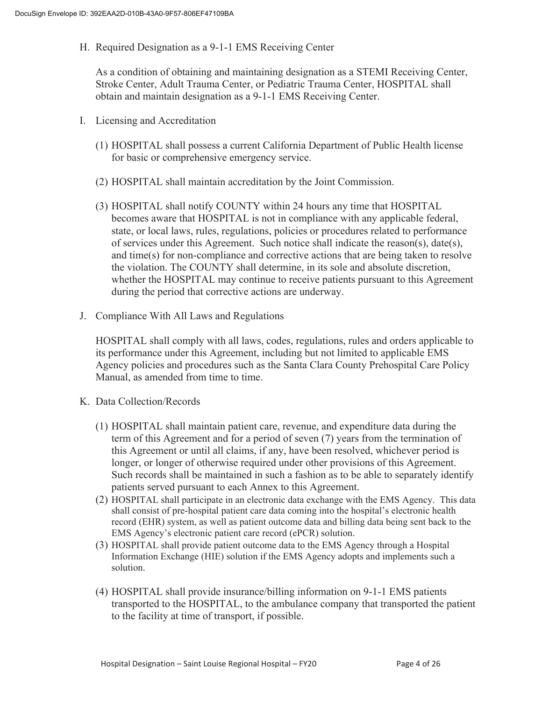H. Required Designation as a 9-1-1 EMS Receiving Center

As a condition of obtaining and maintaining designation as a STEMI Receiving Center, Stroke Center, Adult Trauma Center, or Pediatric Trauma Center, HOSPITAL shall obtain and maintain designation as a 9-1-1 EMS Receiving Center.

- I. Licensing and Accreditation
	- (1) HOSPITAL shall possess a current California Department of Public Health license for basic or comprehensive emergency service.
	- (2) HOSPITAL shall maintain accreditation by the Joint Commission.
	- (3) HOSPITAL shall notify COUNTY within 24 hours any time that HOSPITAL becomes aware that HOSPITAL is not in compliance with any applicable federal, state, or local laws, rules, regulations, policies or procedures related to performance of services under this Agreement. Such notice shall indicate the reason(s), date(s), and time(s) for non-compliance and corrective actions that are being taken to resolve the violation. The COUNTY shall determine, in its sole and absolute discretion, whether the HOSPITAL may continue to receive patients pursuant to this Agreement during the period that corrective actions are underway.
- J. Compliance With All Laws and Regulations

HOSPITAL shall comply with all laws, codes, regulations, rules and orders applicable to its performance under this Agreement, including but not limited to applicable EMS Agency policies and procedures such as the Santa Clara County Prehospital Care Policy Manual, as amended from time to time.

- K. Data Collection/Records
	- (1) HOSPITAL shall maintain patient care, revenue, and expenditure data during the term of this Agreement and for a period of seven (7) years from the termination of this Agreement or until all claims, if any, have been resolved, whichever period is longer, or longer of otherwise required under other provisions of this Agreement. Such records shall be maintained in such a fashion as to be able to separately identify patients served pursuant to each Annex to this Agreement.
	- (2) HOSPITAL shall participate in an electronic data exchange with the EMS Agency. This data shall consist of pre-hospital patient care data coming into the hospital's electronic health record (EHR) system, as well as patient outcome data and billing data being sent back to the EMS Agency's electronic patient care record (ePCR) solution.
	- (3) HOSPITAL shall provide patient outcome data to the EMS Agency through a Hospital Information Exchange (HIE) solution if the EMS Agency adopts and implements such a solution.
	- (4) HOSPITAL shall provide insurance/billing information on 9-1-1 EMS patients transported to the HOSPITAL, to the ambulance company that transported the patient to the facility at time of transport, if possible.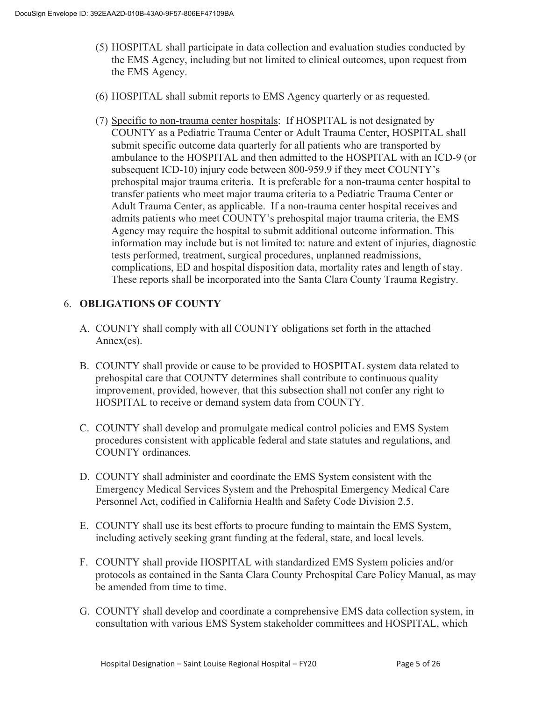- (5) HOSPITAL shall participate in data collection and evaluation studies conducted by the EMS Agency, including but not limited to clinical outcomes, upon request from the EMS Agency.
- (6) HOSPITAL shall submit reports to EMS Agency quarterly or as requested.
- (7) Specific to non-trauma center hospitals: If HOSPITAL is not designated by COUNTY as a Pediatric Trauma Center or Adult Trauma Center, HOSPITAL shall submit specific outcome data quarterly for all patients who are transported by ambulance to the HOSPITAL and then admitted to the HOSPITAL with an ICD-9 (or subsequent ICD-10) injury code between 800-959.9 if they meet COUNTY's prehospital major trauma criteria. It is preferable for a non-trauma center hospital to transfer patients who meet major trauma criteria to a Pediatric Trauma Center or Adult Trauma Center, as applicable. If a non-trauma center hospital receives and admits patients who meet COUNTY's prehospital major trauma criteria, the EMS Agency may require the hospital to submit additional outcome information. This information may include but is not limited to: nature and extent of injuries, diagnostic tests performed, treatment, surgical procedures, unplanned readmissions, complications, ED and hospital disposition data, mortality rates and length of stay. These reports shall be incorporated into the Santa Clara County Trauma Registry.

### 6. **OBLIGATIONS OF COUNTY**

- A. COUNTY shall comply with all COUNTY obligations set forth in the attached Annex(es).
- B. COUNTY shall provide or cause to be provided to HOSPITAL system data related to prehospital care that COUNTY determines shall contribute to continuous quality improvement, provided, however, that this subsection shall not confer any right to HOSPITAL to receive or demand system data from COUNTY.
- C. COUNTY shall develop and promulgate medical control policies and EMS System procedures consistent with applicable federal and state statutes and regulations, and COUNTY ordinances.
- D. COUNTY shall administer and coordinate the EMS System consistent with the Emergency Medical Services System and the Prehospital Emergency Medical Care Personnel Act, codified in California Health and Safety Code Division 2.5.
- E. COUNTY shall use its best efforts to procure funding to maintain the EMS System, including actively seeking grant funding at the federal, state, and local levels.
- F. COUNTY shall provide HOSPITAL with standardized EMS System policies and/or protocols as contained in the Santa Clara County Prehospital Care Policy Manual, as may be amended from time to time.
- G. COUNTY shall develop and coordinate a comprehensive EMS data collection system, in consultation with various EMS System stakeholder committees and HOSPITAL, which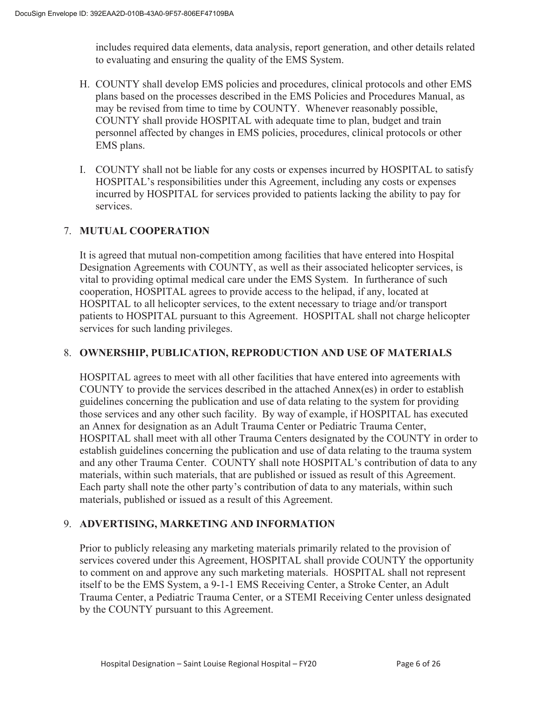includes required data elements, data analysis, report generation, and other details related to evaluating and ensuring the quality of the EMS System.

- H. COUNTY shall develop EMS policies and procedures, clinical protocols and other EMS plans based on the processes described in the EMS Policies and Procedures Manual, as may be revised from time to time by COUNTY. Whenever reasonably possible, COUNTY shall provide HOSPITAL with adequate time to plan, budget and train personnel affected by changes in EMS policies, procedures, clinical protocols or other EMS plans.
- I. COUNTY shall not be liable for any costs or expenses incurred by HOSPITAL to satisfy HOSPITAL's responsibilities under this Agreement, including any costs or expenses incurred by HOSPITAL for services provided to patients lacking the ability to pay for services.

### 7. **MUTUAL COOPERATION**

It is agreed that mutual non-competition among facilities that have entered into Hospital Designation Agreements with COUNTY, as well as their associated helicopter services, is vital to providing optimal medical care under the EMS System. In furtherance of such cooperation, HOSPITAL agrees to provide access to the helipad, if any, located at HOSPITAL to all helicopter services, to the extent necessary to triage and/or transport patients to HOSPITAL pursuant to this Agreement. HOSPITAL shall not charge helicopter services for such landing privileges.

### 8. **OWNERSHIP, PUBLICATION, REPRODUCTION AND USE OF MATERIALS**

HOSPITAL agrees to meet with all other facilities that have entered into agreements with COUNTY to provide the services described in the attached Annex(es) in order to establish guidelines concerning the publication and use of data relating to the system for providing those services and any other such facility. By way of example, if HOSPITAL has executed an Annex for designation as an Adult Trauma Center or Pediatric Trauma Center, HOSPITAL shall meet with all other Trauma Centers designated by the COUNTY in order to establish guidelines concerning the publication and use of data relating to the trauma system and any other Trauma Center. COUNTY shall note HOSPITAL's contribution of data to any materials, within such materials, that are published or issued as result of this Agreement. Each party shall note the other party's contribution of data to any materials, within such materials, published or issued as a result of this Agreement.

### 9. **ADVERTISING, MARKETING AND INFORMATION**

Prior to publicly releasing any marketing materials primarily related to the provision of services covered under this Agreement, HOSPITAL shall provide COUNTY the opportunity to comment on and approve any such marketing materials. HOSPITAL shall not represent itself to be the EMS System, a 9-1-1 EMS Receiving Center, a Stroke Center, an Adult Trauma Center, a Pediatric Trauma Center, or a STEMI Receiving Center unless designated by the COUNTY pursuant to this Agreement.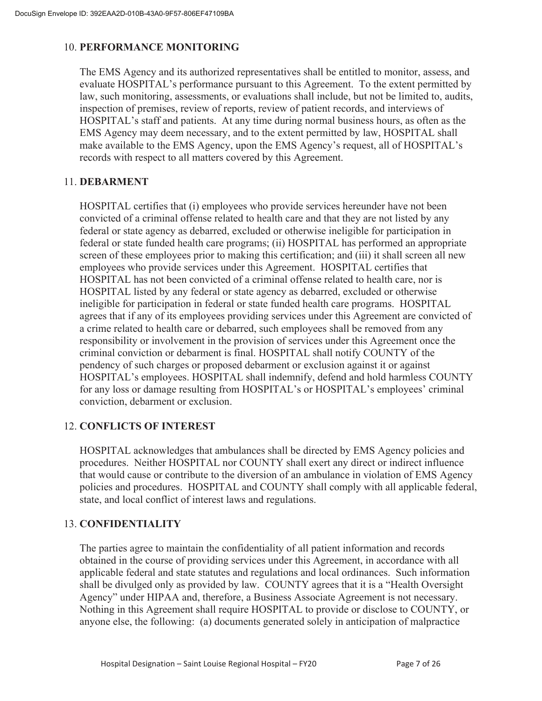### 10. **PERFORMANCE MONITORING**

The EMS Agency and its authorized representatives shall be entitled to monitor, assess, and evaluate HOSPITAL's performance pursuant to this Agreement. To the extent permitted by law, such monitoring, assessments, or evaluations shall include, but not be limited to, audits, inspection of premises, review of reports, review of patient records, and interviews of HOSPITAL's staff and patients. At any time during normal business hours, as often as the EMS Agency may deem necessary, and to the extent permitted by law, HOSPITAL shall make available to the EMS Agency, upon the EMS Agency's request, all of HOSPITAL's records with respect to all matters covered by this Agreement.

### 11. **DEBARMENT**

HOSPITAL certifies that (i) employees who provide services hereunder have not been convicted of a criminal offense related to health care and that they are not listed by any federal or state agency as debarred, excluded or otherwise ineligible for participation in federal or state funded health care programs; (ii) HOSPITAL has performed an appropriate screen of these employees prior to making this certification; and (iii) it shall screen all new employees who provide services under this Agreement. HOSPITAL certifies that HOSPITAL has not been convicted of a criminal offense related to health care, nor is HOSPITAL listed by any federal or state agency as debarred, excluded or otherwise ineligible for participation in federal or state funded health care programs. HOSPITAL agrees that if any of its employees providing services under this Agreement are convicted of a crime related to health care or debarred, such employees shall be removed from any responsibility or involvement in the provision of services under this Agreement once the criminal conviction or debarment is final. HOSPITAL shall notify COUNTY of the pendency of such charges or proposed debarment or exclusion against it or against HOSPITAL's employees. HOSPITAL shall indemnify, defend and hold harmless COUNTY for any loss or damage resulting from HOSPITAL's or HOSPITAL's employees' criminal conviction, debarment or exclusion.

### 12. **CONFLICTS OF INTEREST**

HOSPITAL acknowledges that ambulances shall be directed by EMS Agency policies and procedures. Neither HOSPITAL nor COUNTY shall exert any direct or indirect influence that would cause or contribute to the diversion of an ambulance in violation of EMS Agency policies and procedures. HOSPITAL and COUNTY shall comply with all applicable federal, state, and local conflict of interest laws and regulations.

### 13. **CONFIDENTIALITY**

The parties agree to maintain the confidentiality of all patient information and records obtained in the course of providing services under this Agreement, in accordance with all applicable federal and state statutes and regulations and local ordinances. Such information shall be divulged only as provided by law. COUNTY agrees that it is a "Health Oversight Agency" under HIPAA and, therefore, a Business Associate Agreement is not necessary. Nothing in this Agreement shall require HOSPITAL to provide or disclose to COUNTY, or anyone else, the following: (a) documents generated solely in anticipation of malpractice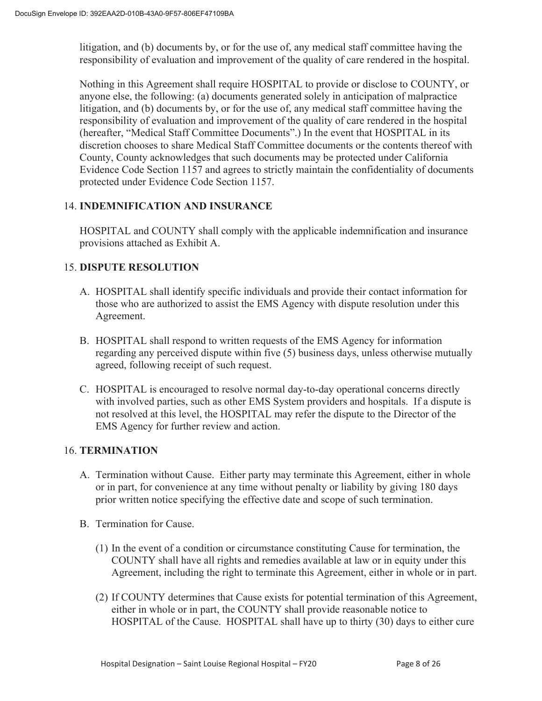litigation, and (b) documents by, or for the use of, any medical staff committee having the responsibility of evaluation and improvement of the quality of care rendered in the hospital.

Nothing in this Agreement shall require HOSPITAL to provide or disclose to COUNTY, or anyone else, the following: (a) documents generated solely in anticipation of malpractice litigation, and (b) documents by, or for the use of, any medical staff committee having the responsibility of evaluation and improvement of the quality of care rendered in the hospital (hereafter, "Medical Staff Committee Documents".) In the event that HOSPITAL in its discretion chooses to share Medical Staff Committee documents or the contents thereof with County, County acknowledges that such documents may be protected under California Evidence Code Section 1157 and agrees to strictly maintain the confidentiality of documents protected under Evidence Code Section 1157.

### 14. **INDEMNIFICATION AND INSURANCE**

HOSPITAL and COUNTY shall comply with the applicable indemnification and insurance provisions attached as Exhibit A.

### 15. **DISPUTE RESOLUTION**

- A. HOSPITAL shall identify specific individuals and provide their contact information for those who are authorized to assist the EMS Agency with dispute resolution under this Agreement.
- B. HOSPITAL shall respond to written requests of the EMS Agency for information regarding any perceived dispute within five (5) business days, unless otherwise mutually agreed, following receipt of such request.
- C. HOSPITAL is encouraged to resolve normal day-to-day operational concerns directly with involved parties, such as other EMS System providers and hospitals. If a dispute is not resolved at this level, the HOSPITAL may refer the dispute to the Director of the EMS Agency for further review and action.

### 16. **TERMINATION**

- A. Termination without Cause. Either party may terminate this Agreement, either in whole or in part, for convenience at any time without penalty or liability by giving 180 days prior written notice specifying the effective date and scope of such termination.
- B. Termination for Cause.
	- (1) In the event of a condition or circumstance constituting Cause for termination, the COUNTY shall have all rights and remedies available at law or in equity under this Agreement, including the right to terminate this Agreement, either in whole or in part.
	- (2) If COUNTY determines that Cause exists for potential termination of this Agreement, either in whole or in part, the COUNTY shall provide reasonable notice to HOSPITAL of the Cause. HOSPITAL shall have up to thirty (30) days to either cure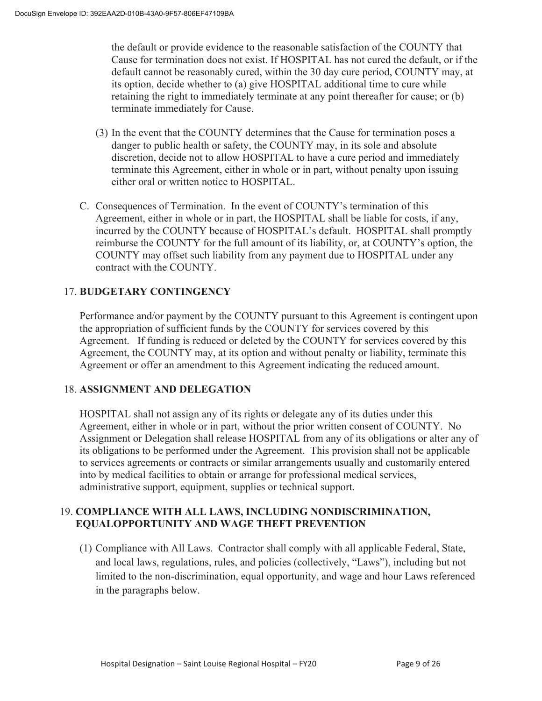the default or provide evidence to the reasonable satisfaction of the COUNTY that Cause for termination does not exist. If HOSPITAL has not cured the default, or if the default cannot be reasonably cured, within the 30 day cure period, COUNTY may, at its option, decide whether to (a) give HOSPITAL additional time to cure while retaining the right to immediately terminate at any point thereafter for cause; or (b) terminate immediately for Cause.

- (3) In the event that the COUNTY determines that the Cause for termination poses a danger to public health or safety, the COUNTY may, in its sole and absolute discretion, decide not to allow HOSPITAL to have a cure period and immediately terminate this Agreement, either in whole or in part, without penalty upon issuing either oral or written notice to HOSPITAL.
- C. Consequences of Termination. In the event of COUNTY's termination of this Agreement, either in whole or in part, the HOSPITAL shall be liable for costs, if any, incurred by the COUNTY because of HOSPITAL's default. HOSPITAL shall promptly reimburse the COUNTY for the full amount of its liability, or, at COUNTY's option, the COUNTY may offset such liability from any payment due to HOSPITAL under any contract with the COUNTY.

### 17. **BUDGETARY CONTINGENCY**

Performance and/or payment by the COUNTY pursuant to this Agreement is contingent upon the appropriation of sufficient funds by the COUNTY for services covered by this Agreement. If funding is reduced or deleted by the COUNTY for services covered by this Agreement, the COUNTY may, at its option and without penalty or liability, terminate this Agreement or offer an amendment to this Agreement indicating the reduced amount.

### 18. **ASSIGNMENT AND DELEGATION**

HOSPITAL shall not assign any of its rights or delegate any of its duties under this Agreement, either in whole or in part, without the prior written consent of COUNTY. No Assignment or Delegation shall release HOSPITAL from any of its obligations or alter any of its obligations to be performed under the Agreement. This provision shall not be applicable to services agreements or contracts or similar arrangements usually and customarily entered into by medical facilities to obtain or arrange for professional medical services, administrative support, equipment, supplies or technical support.

### 19. **COMPLIANCE WITH ALL LAWS, INCLUDING NONDISCRIMINATION, EQUALOPPORTUNITY AND WAGE THEFT PREVENTION**

(1) Compliance with All Laws. Contractor shall comply with all applicable Federal, State, and local laws, regulations, rules, and policies (collectively, "Laws"), including but not limited to the non-discrimination, equal opportunity, and wage and hour Laws referenced in the paragraphs below.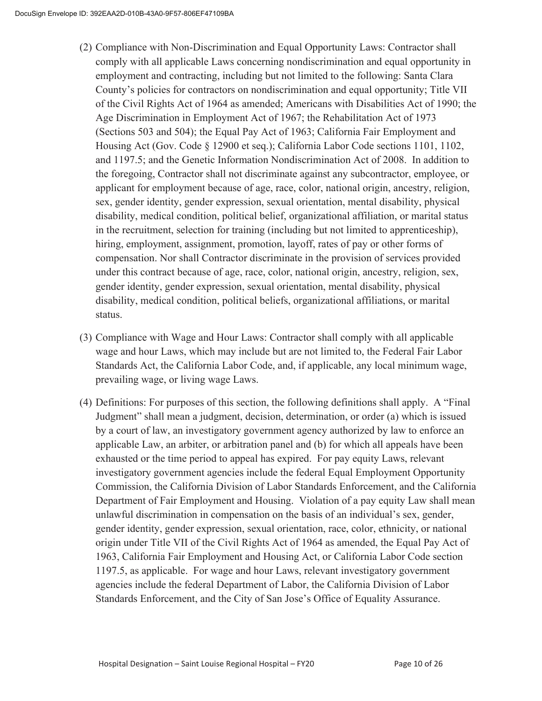- (2) Compliance with Non-Discrimination and Equal Opportunity Laws: Contractor shall comply with all applicable Laws concerning nondiscrimination and equal opportunity in employment and contracting, including but not limited to the following: Santa Clara County's policies for contractors on nondiscrimination and equal opportunity; Title VII of the Civil Rights Act of 1964 as amended; Americans with Disabilities Act of 1990; the Age Discrimination in Employment Act of 1967; the Rehabilitation Act of 1973 (Sections 503 and 504); the Equal Pay Act of 1963; California Fair Employment and Housing Act (Gov. Code § 12900 et seq.); California Labor Code sections 1101, 1102, and 1197.5; and the Genetic Information Nondiscrimination Act of 2008. In addition to the foregoing, Contractor shall not discriminate against any subcontractor, employee, or applicant for employment because of age, race, color, national origin, ancestry, religion, sex, gender identity, gender expression, sexual orientation, mental disability, physical disability, medical condition, political belief, organizational affiliation, or marital status in the recruitment, selection for training (including but not limited to apprenticeship), hiring, employment, assignment, promotion, layoff, rates of pay or other forms of compensation. Nor shall Contractor discriminate in the provision of services provided under this contract because of age, race, color, national origin, ancestry, religion, sex, gender identity, gender expression, sexual orientation, mental disability, physical disability, medical condition, political beliefs, organizational affiliations, or marital status.
- (3) Compliance with Wage and Hour Laws: Contractor shall comply with all applicable wage and hour Laws, which may include but are not limited to, the Federal Fair Labor Standards Act, the California Labor Code, and, if applicable, any local minimum wage, prevailing wage, or living wage Laws.
- (4) Definitions: For purposes of this section, the following definitions shall apply. A "Final Judgment" shall mean a judgment, decision, determination, or order (a) which is issued by a court of law, an investigatory government agency authorized by law to enforce an applicable Law, an arbiter, or arbitration panel and (b) for which all appeals have been exhausted or the time period to appeal has expired. For pay equity Laws, relevant investigatory government agencies include the federal Equal Employment Opportunity Commission, the California Division of Labor Standards Enforcement, and the California Department of Fair Employment and Housing. Violation of a pay equity Law shall mean unlawful discrimination in compensation on the basis of an individual's sex, gender, gender identity, gender expression, sexual orientation, race, color, ethnicity, or national origin under Title VII of the Civil Rights Act of 1964 as amended, the Equal Pay Act of 1963, California Fair Employment and Housing Act, or California Labor Code section 1197.5, as applicable. For wage and hour Laws, relevant investigatory government agencies include the federal Department of Labor, the California Division of Labor Standards Enforcement, and the City of San Jose's Office of Equality Assurance.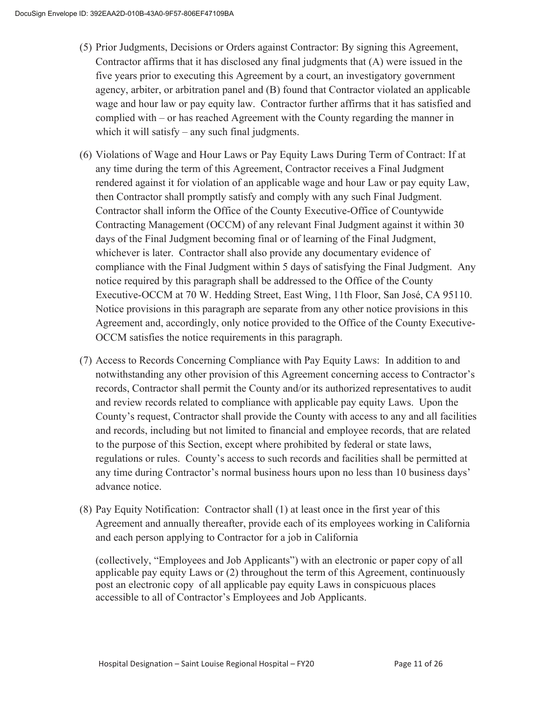- (5) Prior Judgments, Decisions or Orders against Contractor: By signing this Agreement, Contractor affirms that it has disclosed any final judgments that (A) were issued in the five years prior to executing this Agreement by a court, an investigatory government agency, arbiter, or arbitration panel and (B) found that Contractor violated an applicable wage and hour law or pay equity law. Contractor further affirms that it has satisfied and complied with – or has reached Agreement with the County regarding the manner in which it will satisfy – any such final judgments.
- (6) Violations of Wage and Hour Laws or Pay Equity Laws During Term of Contract: If at any time during the term of this Agreement, Contractor receives a Final Judgment rendered against it for violation of an applicable wage and hour Law or pay equity Law, then Contractor shall promptly satisfy and comply with any such Final Judgment. Contractor shall inform the Office of the County Executive-Office of Countywide Contracting Management (OCCM) of any relevant Final Judgment against it within 30 days of the Final Judgment becoming final or of learning of the Final Judgment, whichever is later. Contractor shall also provide any documentary evidence of compliance with the Final Judgment within 5 days of satisfying the Final Judgment. Any notice required by this paragraph shall be addressed to the Office of the County Executive-OCCM at 70 W. Hedding Street, East Wing, 11th Floor, San José, CA 95110. Notice provisions in this paragraph are separate from any other notice provisions in this Agreement and, accordingly, only notice provided to the Office of the County Executive-OCCM satisfies the notice requirements in this paragraph.
- (7) Access to Records Concerning Compliance with Pay Equity Laws: In addition to and notwithstanding any other provision of this Agreement concerning access to Contractor's records, Contractor shall permit the County and/or its authorized representatives to audit and review records related to compliance with applicable pay equity Laws. Upon the County's request, Contractor shall provide the County with access to any and all facilities and records, including but not limited to financial and employee records, that are related to the purpose of this Section, except where prohibited by federal or state laws, regulations or rules. County's access to such records and facilities shall be permitted at any time during Contractor's normal business hours upon no less than 10 business days' advance notice.
- (8) Pay Equity Notification: Contractor shall (1) at least once in the first year of this Agreement and annually thereafter, provide each of its employees working in California and each person applying to Contractor for a job in California

(collectively, "Employees and Job Applicants") with an electronic or paper copy of all applicable pay equity Laws or (2) throughout the term of this Agreement, continuously post an electronic copy of all applicable pay equity Laws in conspicuous places accessible to all of Contractor's Employees and Job Applicants.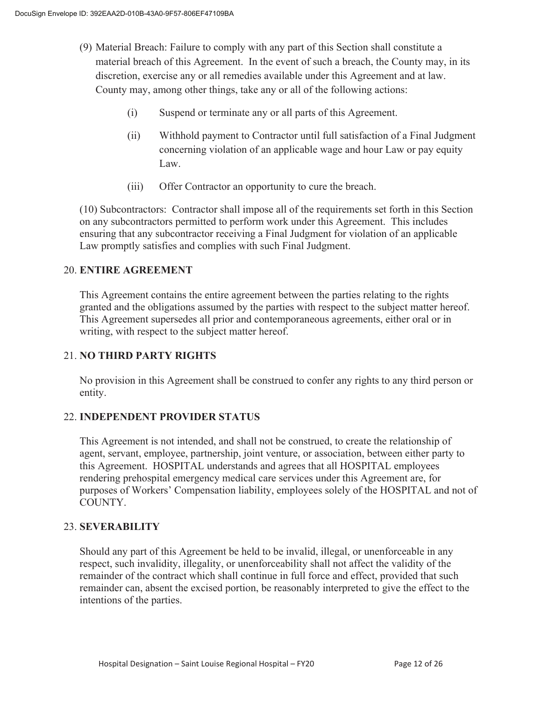- (9) Material Breach: Failure to comply with any part of this Section shall constitute a material breach of this Agreement. In the event of such a breach, the County may, in its discretion, exercise any or all remedies available under this Agreement and at law. County may, among other things, take any or all of the following actions:
	- (i) Suspend or terminate any or all parts of this Agreement.
	- (ii) Withhold payment to Contractor until full satisfaction of a Final Judgment concerning violation of an applicable wage and hour Law or pay equity Law.
	- (iii) Offer Contractor an opportunity to cure the breach.

(10) Subcontractors: Contractor shall impose all of the requirements set forth in this Section on any subcontractors permitted to perform work under this Agreement. This includes ensuring that any subcontractor receiving a Final Judgment for violation of an applicable Law promptly satisfies and complies with such Final Judgment.

### 20. **ENTIRE AGREEMENT**

 This Agreement contains the entire agreement between the parties relating to the rights granted and the obligations assumed by the parties with respect to the subject matter hereof. This Agreement supersedes all prior and contemporaneous agreements, either oral or in writing, with respect to the subject matter hereof.

### 21. **NO THIRD PARTY RIGHTS**

No provision in this Agreement shall be construed to confer any rights to any third person or entity.

### 22. **INDEPENDENT PROVIDER STATUS**

This Agreement is not intended, and shall not be construed, to create the relationship of agent, servant, employee, partnership, joint venture, or association, between either party to this Agreement. HOSPITAL understands and agrees that all HOSPITAL employees rendering prehospital emergency medical care services under this Agreement are, for purposes of Workers' Compensation liability, employees solely of the HOSPITAL and not of COUNTY.

### 23. **SEVERABILITY**

Should any part of this Agreement be held to be invalid, illegal, or unenforceable in any respect, such invalidity, illegality, or unenforceability shall not affect the validity of the remainder of the contract which shall continue in full force and effect, provided that such remainder can, absent the excised portion, be reasonably interpreted to give the effect to the intentions of the parties.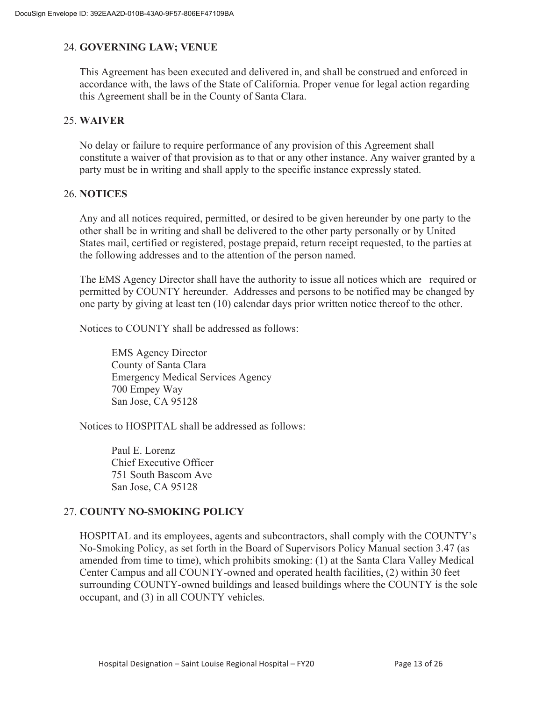### 24. **GOVERNING LAW; VENUE**

This Agreement has been executed and delivered in, and shall be construed and enforced in accordance with, the laws of the State of California. Proper venue for legal action regarding this Agreement shall be in the County of Santa Clara.

### 25. **WAIVER**

No delay or failure to require performance of any provision of this Agreement shall constitute a waiver of that provision as to that or any other instance. Any waiver granted by a party must be in writing and shall apply to the specific instance expressly stated.

### 26. **NOTICES**

Any and all notices required, permitted, or desired to be given hereunder by one party to the other shall be in writing and shall be delivered to the other party personally or by United States mail, certified or registered, postage prepaid, return receipt requested, to the parties at the following addresses and to the attention of the person named.

The EMS Agency Director shall have the authority to issue all notices which are required or permitted by COUNTY hereunder. Addresses and persons to be notified may be changed by one party by giving at least ten (10) calendar days prior written notice thereof to the other.

Notices to COUNTY shall be addressed as follows:

EMS Agency Director County of Santa Clara Emergency Medical Services Agency 700 Empey Way San Jose, CA 95128

Notices to HOSPITAL shall be addressed as follows:

Paul E. Lorenz Chief Executive Officer 751 South Bascom Ave San Jose, CA 95128

### 27. **COUNTY NO-SMOKING POLICY**

HOSPITAL and its employees, agents and subcontractors, shall comply with the COUNTY's No-Smoking Policy, as set forth in the Board of Supervisors Policy Manual section 3.47 (as amended from time to time), which prohibits smoking: (1) at the Santa Clara Valley Medical Center Campus and all COUNTY-owned and operated health facilities, (2) within 30 feet surrounding COUNTY-owned buildings and leased buildings where the COUNTY is the sole occupant, and (3) in all COUNTY vehicles.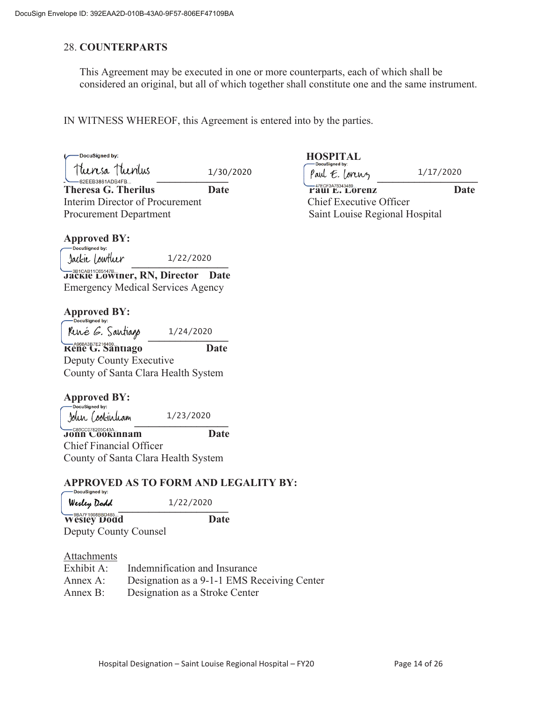### 28. **COUNTERPARTS**

This Agreement may be executed in one or more counterparts, each of which shall be considered an original, but all of which together shall constitute one and the same instrument.

IN WITNESS WHEREOF, this Agreement is entered into by the parties.

1/30/2020

Theresa G. Therilus **Date Date Paul E. Lorenz Date Date** Interim Director of Procurement Chief Executive Officer Procurement Department National Saint Louise Regional Hospital

# **Approved BY:**<br> **-**DocuSigned by:

 $Jack!$   $\downarrow$   $\downarrow$   $\downarrow$   $\downarrow$   $\downarrow$   $\downarrow$   $\downarrow$   $\downarrow$   $\downarrow$   $\downarrow$   $\downarrow$   $\downarrow$   $\downarrow$   $\downarrow$   $\downarrow$   $\downarrow$   $\downarrow$   $\downarrow$   $\downarrow$   $\downarrow$   $\downarrow$   $\downarrow$   $\downarrow$   $\downarrow$   $\downarrow$   $\downarrow$   $\downarrow$   $\downarrow$   $\downarrow$   $\downarrow$   $\downarrow$   $\downarrow$   $\downarrow$   $\downarrow$   $\downarrow$   $\downarrow$ 1/22/2020

**Jackie Lowther, RN, Director Date** Emergency Medical Services Agency

## **Approved BY:**<br> **ODD** Docusigned by:

René *C.* Santiago **REDES ASSESSEDED ASSESSEDED** Date Deputy County Executive County of Santa Clara Health System 1/24/2020

# **Approved BY:**<br>
<u>Cocusigned</u> by:

  $J$ our Cookinuam  $\frac{1}{2}$   $\frac{1}{2}$ 1/23/2020

**John Cookinham Date** Chief Financial Officer County of Santa Clara Health System

### **APPROVED AS TO FORM AND LEGALITY BY:**

| <b>DOUGHLAIR</b><br>Wesley Dodd | 1/22/2020 |
|---------------------------------|-----------|
| Wesley Dodd                     | Date      |

Deputy County Counsel

### Attachments

| Exhibit A: | Indemnification and Insurance               |
|------------|---------------------------------------------|
| Annex A:   | Designation as a 9-1-1 EMS Receiving Center |
| Annex B:   | Designation as a Stroke Center              |

## DocuSigned by:<br>
Let the discussion of the discussion of the discussion of the discussion of the discussion of the discussion of the discussion of the discussion of the discussion of the discussion of the discussion of the

 $\left[\begin{array}{ccc} \sqrt{M} & \sqrt{M} & \sqrt{M} \\ \sqrt{M} & \sqrt{M} & \sqrt{M} \end{array}\right]$   $\left[\begin{array}{ccc} \sqrt{M} & \sqrt{M} & \sqrt{M} \\ \sqrt{M} & \sqrt{M} & \sqrt{M} \end{array}\right]$   $\left[\begin{array}{ccc} \sqrt{M} & \sqrt{M} & \sqrt{M} \\ \sqrt{M} & \sqrt{M} & \sqrt{M} \end{array}\right]$ 1/17/2020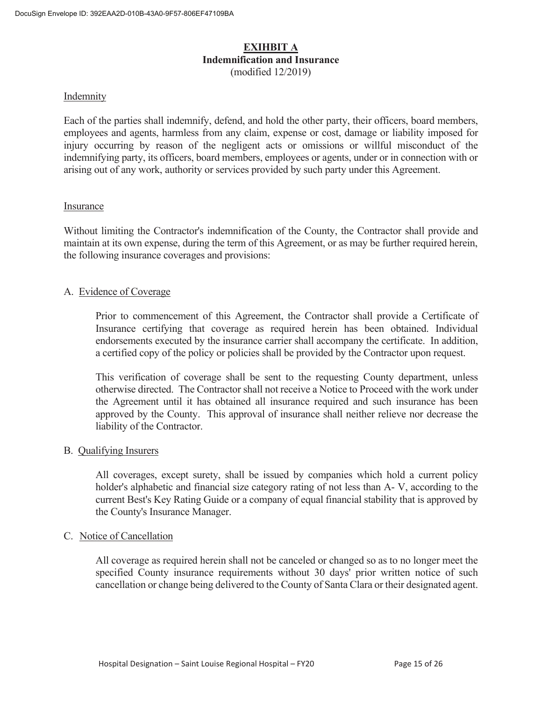### **EXIHBIT A Indemnification and Insurance**  (modified 12/2019)

### Indemnity

Each of the parties shall indemnify, defend, and hold the other party, their officers, board members, employees and agents, harmless from any claim, expense or cost, damage or liability imposed for injury occurring by reason of the negligent acts or omissions or willful misconduct of the indemnifying party, its officers, board members, employees or agents, under or in connection with or arising out of any work, authority or services provided by such party under this Agreement.

### Insurance

Without limiting the Contractor's indemnification of the County, the Contractor shall provide and maintain at its own expense, during the term of this Agreement, or as may be further required herein, the following insurance coverages and provisions:

### A. Evidence of Coverage

 Prior to commencement of this Agreement, the Contractor shall provide a Certificate of Insurance certifying that coverage as required herein has been obtained. Individual endorsements executed by the insurance carrier shall accompany the certificate. In addition, a certified copy of the policy or policies shall be provided by the Contractor upon request.

 This verification of coverage shall be sent to the requesting County department, unless otherwise directed. The Contractor shall not receive a Notice to Proceed with the work under the Agreement until it has obtained all insurance required and such insurance has been approved by the County. This approval of insurance shall neither relieve nor decrease the liability of the Contractor.

### B. Qualifying Insurers

 All coverages, except surety, shall be issued by companies which hold a current policy holder's alphabetic and financial size category rating of not less than A- V, according to the current Best's Key Rating Guide or a company of equal financial stability that is approved by the County's Insurance Manager.

### C. Notice of Cancellation

All coverage as required herein shall not be canceled or changed so as to no longer meet the specified County insurance requirements without 30 days' prior written notice of such cancellation or change being delivered to the County of Santa Clara or their designated agent.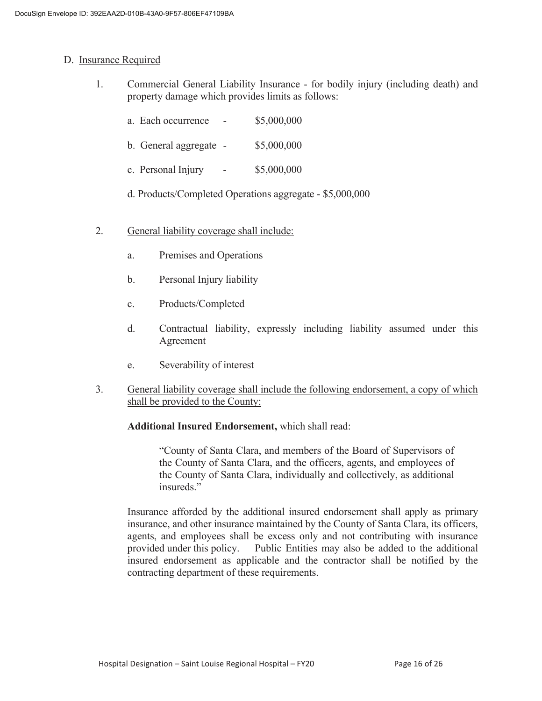### D. Insurance Required

- 1. Commercial General Liability Insurance for bodily injury (including death) and property damage which provides limits as follows:
	- a. Each occurrence \$5,000,000
	- b. General aggregate \$5,000,000
	- c. Personal Injury \$5,000,000
	- d. Products/Completed Operations aggregate \$5,000,000
- 2. General liability coverage shall include:
	- a. Premises and Operations
	- b. Personal Injury liability
	- c. Products/Completed
	- d. Contractual liability, expressly including liability assumed under this Agreement
	- e. Severability of interest
- 3. General liability coverage shall include the following endorsement, a copy of which shall be provided to the County:

### **Additional Insured Endorsement,** which shall read:

 "County of Santa Clara, and members of the Board of Supervisors of the County of Santa Clara, and the officers, agents, and employees of the County of Santa Clara, individually and collectively, as additional insureds."

 Insurance afforded by the additional insured endorsement shall apply as primary insurance, and other insurance maintained by the County of Santa Clara, its officers, agents, and employees shall be excess only and not contributing with insurance provided under this policy. Public Entities may also be added to the additional insured endorsement as applicable and the contractor shall be notified by the contracting department of these requirements.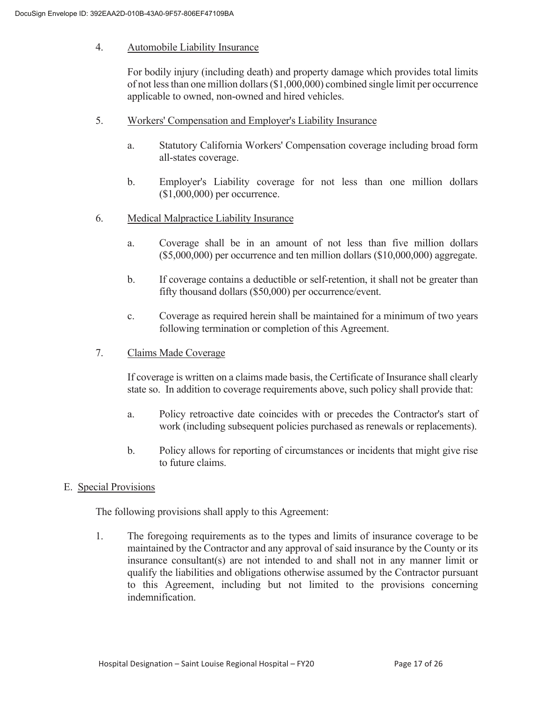### 4. Automobile Liability Insurance

 For bodily injury (including death) and property damage which provides total limits of not less than one million dollars (\$1,000,000) combined single limit per occurrence applicable to owned, non-owned and hired vehicles.

- 5. Workers' Compensation and Employer's Liability Insurance
	- a. Statutory California Workers' Compensation coverage including broad form all-states coverage.
	- b. Employer's Liability coverage for not less than one million dollars (\$1,000,000) per occurrence.
- 6. Medical Malpractice Liability Insurance
	- a. Coverage shall be in an amount of not less than five million dollars (\$5,000,000) per occurrence and ten million dollars (\$10,000,000) aggregate.
	- b. If coverage contains a deductible or self-retention, it shall not be greater than fifty thousand dollars (\$50,000) per occurrence/event.
	- c. Coverage as required herein shall be maintained for a minimum of two years following termination or completion of this Agreement.
- 7. Claims Made Coverage

 If coverage is written on a claims made basis, the Certificate of Insurance shall clearly state so. In addition to coverage requirements above, such policy shall provide that:

- a. Policy retroactive date coincides with or precedes the Contractor's start of work (including subsequent policies purchased as renewals or replacements).
- b. Policy allows for reporting of circumstances or incidents that might give rise to future claims.

### E. Special Provisions

The following provisions shall apply to this Agreement:

 1. The foregoing requirements as to the types and limits of insurance coverage to be maintained by the Contractor and any approval of said insurance by the County or its insurance consultant(s) are not intended to and shall not in any manner limit or qualify the liabilities and obligations otherwise assumed by the Contractor pursuant to this Agreement, including but not limited to the provisions concerning indemnification.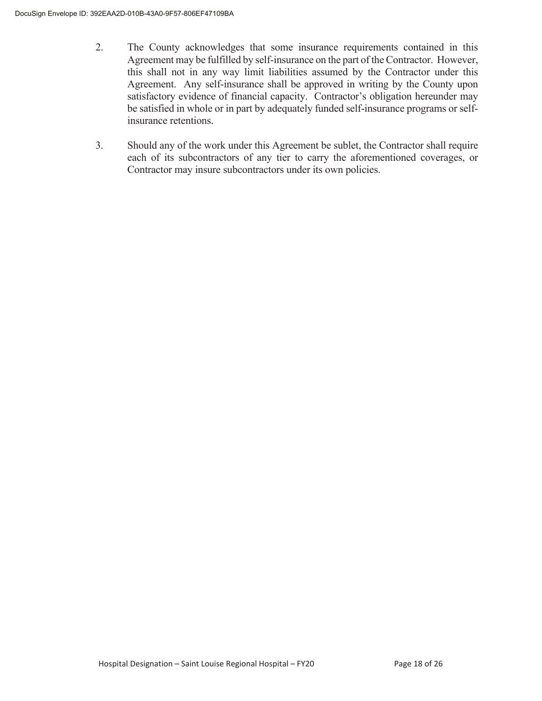- 2. The County acknowledges that some insurance requirements contained in this Agreement may be fulfilled by self-insurance on the part of the Contractor. However, this shall not in any way limit liabilities assumed by the Contractor under this Agreement. Any self-insurance shall be approved in writing by the County upon satisfactory evidence of financial capacity. Contractor's obligation hereunder may be satisfied in whole or in part by adequately funded self-insurance programs or selfinsurance retentions.
- 3. Should any of the work under this Agreement be sublet, the Contractor shall require each of its subcontractors of any tier to carry the aforementioned coverages, or Contractor may insure subcontractors under its own policies.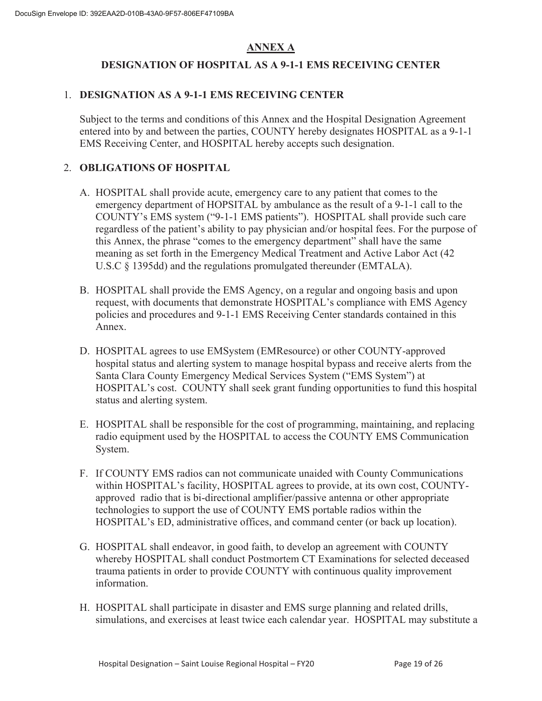### **ANNEX A**

### **DESIGNATION OF HOSPITAL AS A 9-1-1 EMS RECEIVING CENTER**

### 1. **DESIGNATION AS A 9-1-1 EMS RECEIVING CENTER**

Subject to the terms and conditions of this Annex and the Hospital Designation Agreement entered into by and between the parties, COUNTY hereby designates HOSPITAL as a 9-1-1 EMS Receiving Center, and HOSPITAL hereby accepts such designation.

### 2. **OBLIGATIONS OF HOSPITAL**

- A. HOSPITAL shall provide acute, emergency care to any patient that comes to the emergency department of HOPSITAL by ambulance as the result of a 9-1-1 call to the COUNTY's EMS system ("9-1-1 EMS patients"). HOSPITAL shall provide such care regardless of the patient's ability to pay physician and/or hospital fees. For the purpose of this Annex, the phrase "comes to the emergency department" shall have the same meaning as set forth in the Emergency Medical Treatment and Active Labor Act (42 U.S.C § 1395dd) and the regulations promulgated thereunder (EMTALA).
- B. HOSPITAL shall provide the EMS Agency, on a regular and ongoing basis and upon request, with documents that demonstrate HOSPITAL's compliance with EMS Agency policies and procedures and 9-1-1 EMS Receiving Center standards contained in this Annex.
- D. HOSPITAL agrees to use EMSystem (EMResource) or other COUNTY-approved hospital status and alerting system to manage hospital bypass and receive alerts from the Santa Clara County Emergency Medical Services System ("EMS System") at HOSPITAL's cost. COUNTY shall seek grant funding opportunities to fund this hospital status and alerting system.
- E. HOSPITAL shall be responsible for the cost of programming, maintaining, and replacing radio equipment used by the HOSPITAL to access the COUNTY EMS Communication System.
- F. If COUNTY EMS radios can not communicate unaided with County Communications within HOSPITAL's facility, HOSPITAL agrees to provide, at its own cost, COUNTYapproved radio that is bi-directional amplifier/passive antenna or other appropriate technologies to support the use of COUNTY EMS portable radios within the HOSPITAL's ED, administrative offices, and command center (or back up location).
- G. HOSPITAL shall endeavor, in good faith, to develop an agreement with COUNTY whereby HOSPITAL shall conduct Postmortem CT Examinations for selected deceased trauma patients in order to provide COUNTY with continuous quality improvement information.
- H. HOSPITAL shall participate in disaster and EMS surge planning and related drills, simulations, and exercises at least twice each calendar year. HOSPITAL may substitute a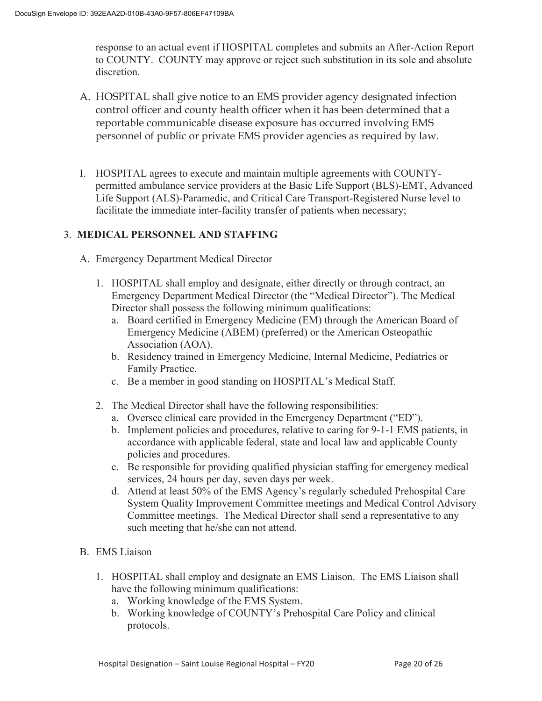response to an actual event if HOSPITAL completes and submits an After-Action Report to COUNTY. COUNTY may approve or reject such substitution in its sole and absolute discretion.

- A. HOSPITAL shall give notice to an EMS provider agency designated infection control officer and county health officer when it has been determined that a reportable communicable disease exposure has occurred involving EMS personnel of public or private EMS provider agencies as required by law.
- I. HOSPITAL agrees to execute and maintain multiple agreements with COUNTYpermitted ambulance service providers at the Basic Life Support (BLS)-EMT, Advanced Life Support (ALS)-Paramedic, and Critical Care Transport-Registered Nurse level to facilitate the immediate inter-facility transfer of patients when necessary;

### 3. **MEDICAL PERSONNEL AND STAFFING**

- A. Emergency Department Medical Director
	- 1. HOSPITAL shall employ and designate, either directly or through contract, an Emergency Department Medical Director (the "Medical Director"). The Medical Director shall possess the following minimum qualifications:
		- a. Board certified in Emergency Medicine (EM) through the American Board of Emergency Medicine (ABEM) (preferred) or the American Osteopathic Association (AOA).
		- b. Residency trained in Emergency Medicine, Internal Medicine, Pediatrics or Family Practice.
		- c. Be a member in good standing on HOSPITAL's Medical Staff.
	- 2. The Medical Director shall have the following responsibilities:
		- a. Oversee clinical care provided in the Emergency Department ("ED").
		- b. Implement policies and procedures, relative to caring for 9-1-1 EMS patients, in accordance with applicable federal, state and local law and applicable County policies and procedures.
		- c. Be responsible for providing qualified physician staffing for emergency medical services, 24 hours per day, seven days per week.
		- d. Attend at least 50% of the EMS Agency's regularly scheduled Prehospital Care System Quality Improvement Committee meetings and Medical Control Advisory Committee meetings. The Medical Director shall send a representative to any such meeting that he/she can not attend.
- B. EMS Liaison
	- 1. HOSPITAL shall employ and designate an EMS Liaison. The EMS Liaison shall have the following minimum qualifications:
		- a. Working knowledge of the EMS System.
		- b. Working knowledge of COUNTY's Prehospital Care Policy and clinical protocols.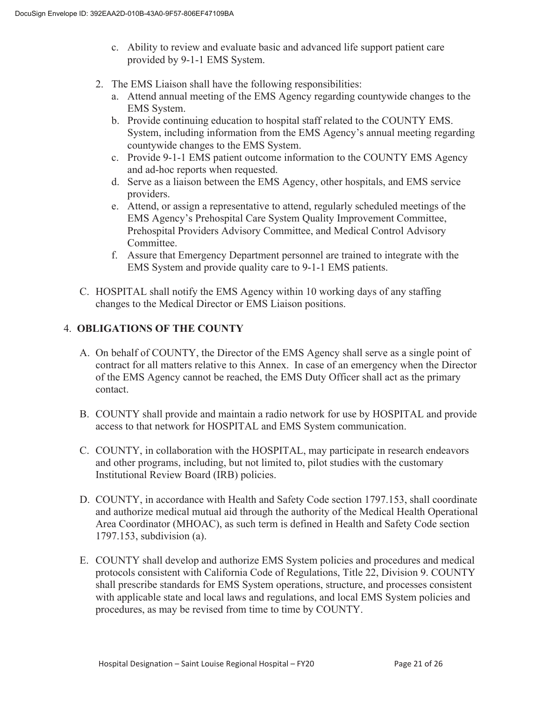- c. Ability to review and evaluate basic and advanced life support patient care provided by 9-1-1 EMS System.
- 2. The EMS Liaison shall have the following responsibilities:
	- a. Attend annual meeting of the EMS Agency regarding countywide changes to the EMS System.
	- b. Provide continuing education to hospital staff related to the COUNTY EMS. System, including information from the EMS Agency's annual meeting regarding countywide changes to the EMS System.
	- c. Provide 9-1-1 EMS patient outcome information to the COUNTY EMS Agency and ad-hoc reports when requested.
	- d. Serve as a liaison between the EMS Agency, other hospitals, and EMS service providers.
	- e. Attend, or assign a representative to attend, regularly scheduled meetings of the EMS Agency's Prehospital Care System Quality Improvement Committee, Prehospital Providers Advisory Committee, and Medical Control Advisory Committee.
	- f. Assure that Emergency Department personnel are trained to integrate with the EMS System and provide quality care to 9-1-1 EMS patients.
- C. HOSPITAL shall notify the EMS Agency within 10 working days of any staffing changes to the Medical Director or EMS Liaison positions.

### 4. **OBLIGATIONS OF THE COUNTY**

- A. On behalf of COUNTY, the Director of the EMS Agency shall serve as a single point of contract for all matters relative to this Annex. In case of an emergency when the Director of the EMS Agency cannot be reached, the EMS Duty Officer shall act as the primary contact.
- B. COUNTY shall provide and maintain a radio network for use by HOSPITAL and provide access to that network for HOSPITAL and EMS System communication.
- C. COUNTY, in collaboration with the HOSPITAL, may participate in research endeavors and other programs, including, but not limited to, pilot studies with the customary Institutional Review Board (IRB) policies.
- D. COUNTY, in accordance with Health and Safety Code section 1797.153, shall coordinate and authorize medical mutual aid through the authority of the Medical Health Operational Area Coordinator (MHOAC), as such term is defined in Health and Safety Code section 1797.153, subdivision (a).
- E. COUNTY shall develop and authorize EMS System policies and procedures and medical protocols consistent with California Code of Regulations, Title 22, Division 9. COUNTY shall prescribe standards for EMS System operations, structure, and processes consistent with applicable state and local laws and regulations, and local EMS System policies and procedures, as may be revised from time to time by COUNTY.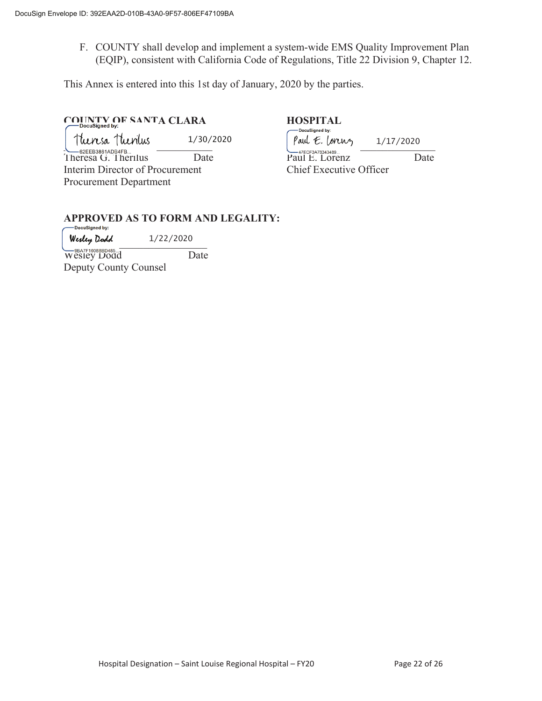F. COUNTY shall develop and implement a system-wide EMS Quality Improvement Plan (EQIP), consistent with California Code of Regulations, Title 22 Division 9, Chapter 12.

This Annex is entered into this 1st day of January, 2020 by the parties.

# **COUNTY OF SANTA CLARA HOSPITAL HOSPITAL**

 $\uparrow$ turesa  $\uparrow$ turilus  $\qquad \qquad 1/30/2020$   $\qquad \qquad$  $\qquad \qquad$ f e. lorus  $\qquad \qquad$ <br>  $\qquad \qquad$   $\qquad \qquad$   $\qquad \qquad$   $\qquad \qquad$   $\qquad \qquad$   $\qquad \qquad$   $\qquad \qquad$   $\qquad \qquad$   $\qquad \qquad$   $\qquad \qquad$   $\qquad \qquad$   $\qquad \qquad$   $\qquad \qquad$   $\qquad \qquad$   $\qquad \qquad$   $\qquad \$ 1/30/2020

Interim Director of Procurement Chief Executive Officer Procurement Department

Theresa G. Therilus Date Paul E. Lorenz Date Date 1/17/2020

# **APPROVED AS TO FORM AND LEGALITY:**

Werley Dodd 1/22/2020

Wesley Dodd Date Deputy County Counsel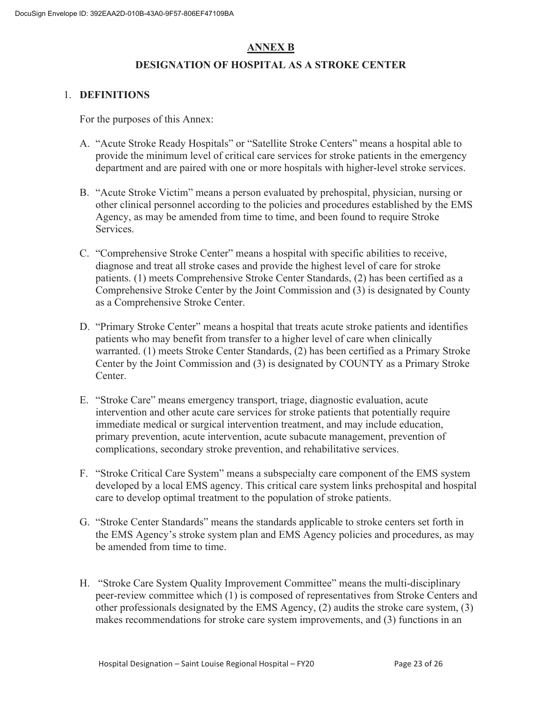### **ANNEX B**

### **DESIGNATION OF HOSPITAL AS A STROKE CENTER**

### 1. **DEFINITIONS**

For the purposes of this Annex:

- A. "Acute Stroke Ready Hospitals" or "Satellite Stroke Centers" means a hospital able to provide the minimum level of critical care services for stroke patients in the emergency department and are paired with one or more hospitals with higher-level stroke services.
- B. "Acute Stroke Victim" means a person evaluated by prehospital, physician, nursing or other clinical personnel according to the policies and procedures established by the EMS Agency, as may be amended from time to time, and been found to require Stroke Services.
- C. "Comprehensive Stroke Center" means a hospital with specific abilities to receive, diagnose and treat all stroke cases and provide the highest level of care for stroke patients. (1) meets Comprehensive Stroke Center Standards, (2) has been certified as a Comprehensive Stroke Center by the Joint Commission and (3) is designated by County as a Comprehensive Stroke Center.
- D. "Primary Stroke Center" means a hospital that treats acute stroke patients and identifies patients who may benefit from transfer to a higher level of care when clinically warranted. (1) meets Stroke Center Standards, (2) has been certified as a Primary Stroke Center by the Joint Commission and (3) is designated by COUNTY as a Primary Stroke Center.
- E. "Stroke Care" means emergency transport, triage, diagnostic evaluation, acute intervention and other acute care services for stroke patients that potentially require immediate medical or surgical intervention treatment, and may include education, primary prevention, acute intervention, acute subacute management, prevention of complications, secondary stroke prevention, and rehabilitative services.
- F. "Stroke Critical Care System" means a subspecialty care component of the EMS system developed by a local EMS agency. This critical care system links prehospital and hospital care to develop optimal treatment to the population of stroke patients.
- G. "Stroke Center Standards" means the standards applicable to stroke centers set forth in the EMS Agency's stroke system plan and EMS Agency policies and procedures, as may be amended from time to time.
- H. "Stroke Care System Quality Improvement Committee" means the multi-disciplinary peer-review committee which (1) is composed of representatives from Stroke Centers and other professionals designated by the EMS Agency, (2) audits the stroke care system, (3) makes recommendations for stroke care system improvements, and (3) functions in an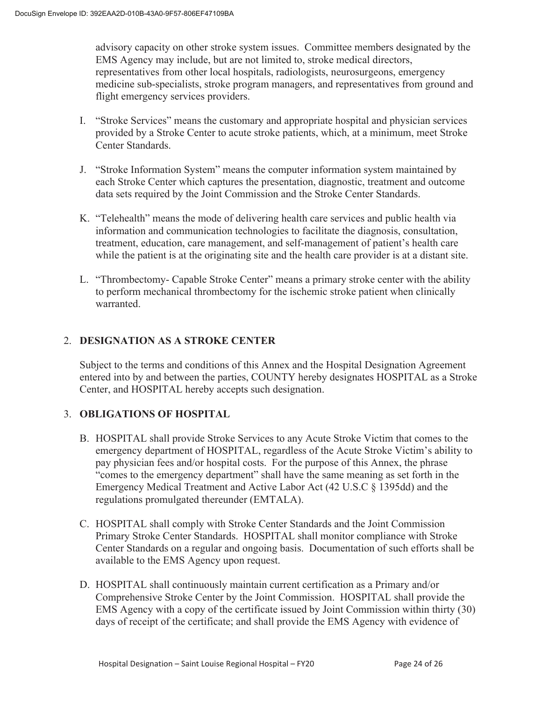advisory capacity on other stroke system issues. Committee members designated by the EMS Agency may include, but are not limited to, stroke medical directors, representatives from other local hospitals, radiologists, neurosurgeons, emergency medicine sub-specialists, stroke program managers, and representatives from ground and flight emergency services providers.

- I. "Stroke Services" means the customary and appropriate hospital and physician services provided by a Stroke Center to acute stroke patients, which, at a minimum, meet Stroke Center Standards.
- J. "Stroke Information System" means the computer information system maintained by each Stroke Center which captures the presentation, diagnostic, treatment and outcome data sets required by the Joint Commission and the Stroke Center Standards.
- K. "Telehealth" means the mode of delivering health care services and public health via information and communication technologies to facilitate the diagnosis, consultation, treatment, education, care management, and self-management of patient's health care while the patient is at the originating site and the health care provider is at a distant site.
- L. "Thrombectomy- Capable Stroke Center" means a primary stroke center with the ability to perform mechanical thrombectomy for the ischemic stroke patient when clinically warranted.

### 2. **DESIGNATION AS A STROKE CENTER**

Subject to the terms and conditions of this Annex and the Hospital Designation Agreement entered into by and between the parties, COUNTY hereby designates HOSPITAL as a Stroke Center, and HOSPITAL hereby accepts such designation.

### 3. **OBLIGATIONS OF HOSPITAL**

- B. HOSPITAL shall provide Stroke Services to any Acute Stroke Victim that comes to the emergency department of HOSPITAL, regardless of the Acute Stroke Victim's ability to pay physician fees and/or hospital costs. For the purpose of this Annex, the phrase "comes to the emergency department" shall have the same meaning as set forth in the Emergency Medical Treatment and Active Labor Act (42 U.S.C § 1395dd) and the regulations promulgated thereunder (EMTALA).
- C. HOSPITAL shall comply with Stroke Center Standards and the Joint Commission Primary Stroke Center Standards. HOSPITAL shall monitor compliance with Stroke Center Standards on a regular and ongoing basis. Documentation of such efforts shall be available to the EMS Agency upon request.
- D. HOSPITAL shall continuously maintain current certification as a Primary and/or Comprehensive Stroke Center by the Joint Commission. HOSPITAL shall provide the EMS Agency with a copy of the certificate issued by Joint Commission within thirty (30) days of receipt of the certificate; and shall provide the EMS Agency with evidence of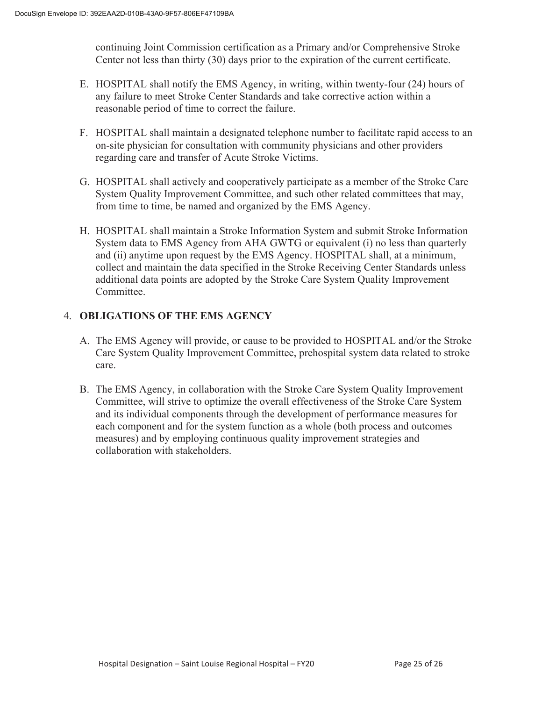continuing Joint Commission certification as a Primary and/or Comprehensive Stroke Center not less than thirty (30) days prior to the expiration of the current certificate.

- E. HOSPITAL shall notify the EMS Agency, in writing, within twenty-four (24) hours of any failure to meet Stroke Center Standards and take corrective action within a reasonable period of time to correct the failure.
- F. HOSPITAL shall maintain a designated telephone number to facilitate rapid access to an on-site physician for consultation with community physicians and other providers regarding care and transfer of Acute Stroke Victims.
- G. HOSPITAL shall actively and cooperatively participate as a member of the Stroke Care System Quality Improvement Committee, and such other related committees that may, from time to time, be named and organized by the EMS Agency.
- H. HOSPITAL shall maintain a Stroke Information System and submit Stroke Information System data to EMS Agency from AHA GWTG or equivalent (i) no less than quarterly and (ii) anytime upon request by the EMS Agency. HOSPITAL shall, at a minimum, collect and maintain the data specified in the Stroke Receiving Center Standards unless additional data points are adopted by the Stroke Care System Quality Improvement Committee.

### 4. **OBLIGATIONS OF THE EMS AGENCY**

- A. The EMS Agency will provide, or cause to be provided to HOSPITAL and/or the Stroke Care System Quality Improvement Committee, prehospital system data related to stroke care.
- B. The EMS Agency, in collaboration with the Stroke Care System Quality Improvement Committee, will strive to optimize the overall effectiveness of the Stroke Care System and its individual components through the development of performance measures for each component and for the system function as a whole (both process and outcomes measures) and by employing continuous quality improvement strategies and collaboration with stakeholders.